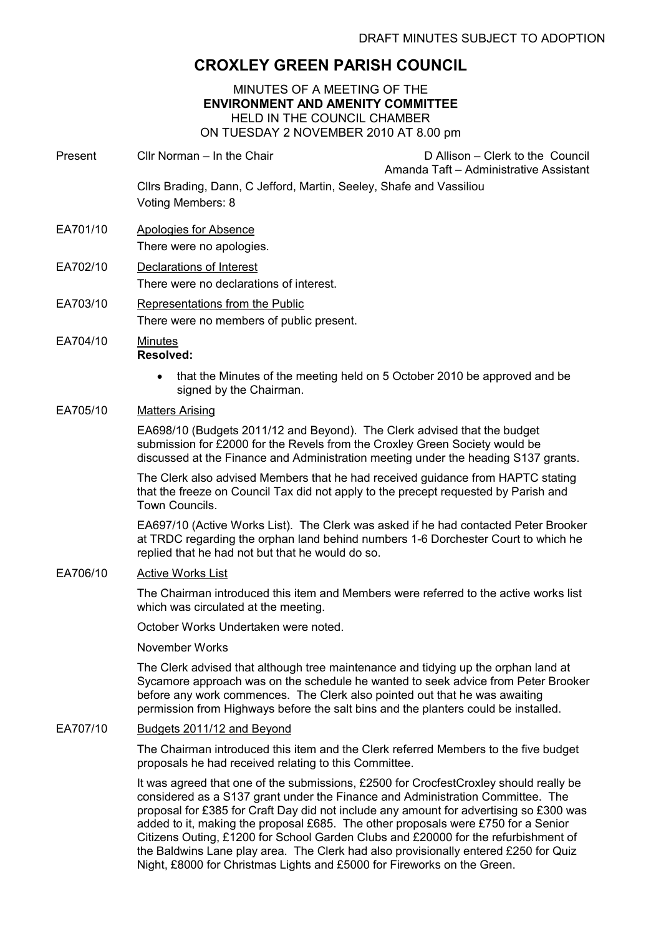# CROXLEY GREEN PARISH COUNCIL

MINUTES OF A MEETING OF THE ENVIRONMENT AND AMENITY COMMITTEE HELD IN THE COUNCIL CHAMBER ON TUESDAY 2 NOVEMBER 2010 AT 8.00 pm

- Present Cllr Norman In the Chair D Allison Clerk to the Council Amanda Taft – Administrative Assistant Cllrs Brading, Dann, C Jefford, Martin, Seeley, Shafe and Vassiliou Voting Members: 8
- EA701/10 Apologies for Absence There were no apologies.
- EA702/10 Declarations of Interest There were no declarations of interest.
- EA703/10 Representations from the Public There were no members of public present.
- EA704/10 Minutes Resolved:
	- that the Minutes of the meeting held on 5 October 2010 be approved and be signed by the Chairman.

### EA705/10 Matters Arising

EA698/10 (Budgets 2011/12 and Beyond). The Clerk advised that the budget submission for £2000 for the Revels from the Croxley Green Society would be discussed at the Finance and Administration meeting under the heading S137 grants.

The Clerk also advised Members that he had received guidance from HAPTC stating that the freeze on Council Tax did not apply to the precept requested by Parish and Town Councils.

EA697/10 (Active Works List). The Clerk was asked if he had contacted Peter Brooker at TRDC regarding the orphan land behind numbers 1-6 Dorchester Court to which he replied that he had not but that he would do so.

#### EA706/10 Active Works List

The Chairman introduced this item and Members were referred to the active works list which was circulated at the meeting.

October Works Undertaken were noted.

November Works

The Clerk advised that although tree maintenance and tidying up the orphan land at Sycamore approach was on the schedule he wanted to seek advice from Peter Brooker before any work commences. The Clerk also pointed out that he was awaiting permission from Highways before the salt bins and the planters could be installed.

## EA707/10 Budgets 2011/12 and Beyond

The Chairman introduced this item and the Clerk referred Members to the five budget proposals he had received relating to this Committee.

It was agreed that one of the submissions, £2500 for CrocfestCroxley should really be considered as a S137 grant under the Finance and Administration Committee. The proposal for £385 for Craft Day did not include any amount for advertising so £300 was added to it, making the proposal £685. The other proposals were £750 for a Senior Citizens Outing, £1200 for School Garden Clubs and £20000 for the refurbishment of the Baldwins Lane play area. The Clerk had also provisionally entered £250 for Quiz Night, £8000 for Christmas Lights and £5000 for Fireworks on the Green.